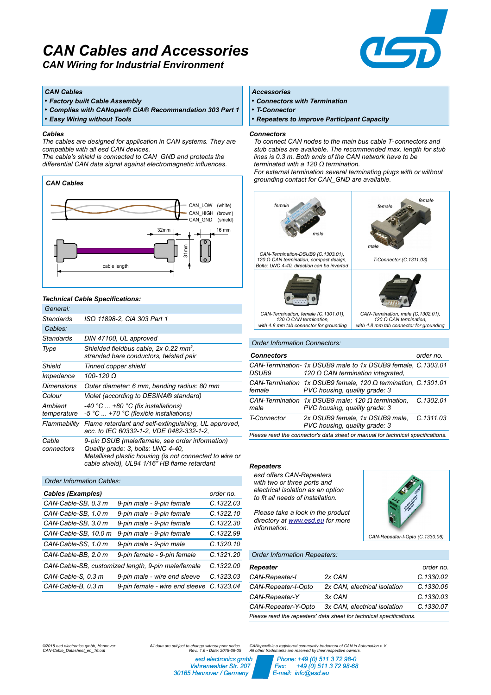# *CAN Cables and Accessories*

 $\equiv$ 

*CAN Wiring for Industrial Environment*

## *CAN Cables*

- *Factory built Cable Assembly*
- *Complies with CANopen® CiA® Recommendation 303 Part 1*

• *Easy Wiring without Tools*

### *Cables*

*The cables are designed for application in CAN systems. They are compatible with all esd CAN devices.* 

*The cable's shield is connected to CAN\_GND and protects the differential CAN data signal against electromagnetic influences.* 



## *Technical Cable Specifications:*

| General:               |                                                                                                                                                                                                  |
|------------------------|--------------------------------------------------------------------------------------------------------------------------------------------------------------------------------------------------|
| Standards              | ISO 11898-2. CiA 303 Part 1                                                                                                                                                                      |
| Cables:                |                                                                                                                                                                                                  |
| Standards              | DIN 47100, UL approved                                                                                                                                                                           |
| Type                   | Shielded fieldbus cable, 2x 0.22 mm <sup>2</sup> ,<br>stranded bare conductors, twisted pair                                                                                                     |
| Shield                 | Tinned copper shield                                                                                                                                                                             |
| Impedance              | 100-120 Ω                                                                                                                                                                                        |
| Dimensions             | Outer diameter: 6 mm, bending radius: 80 mm                                                                                                                                                      |
| Colour                 | Violet (according to DESINA® standard)                                                                                                                                                           |
| Ambient<br>temperature | $-40$ °C $\ldots$ +80 °C (fix installations)<br>-5 °C  +70 °C (flexible installations)                                                                                                           |
| Flammability           | Flame retardant and self-extinguishing, UL approved,<br>acc. to IEC 60332-1-2, VDE 0482-332-1-2,                                                                                                 |
| Cable<br>connectors    | 9-pin DSUB (male/female, see order information)<br>Quality grade: 3, bolts: UNC 4-40,<br>Metallised plastic housing (is not connected to wire or<br>cable shield), UL94 1/16" HB flame retardant |

| <b>Order Information Cables:</b>                   |                                |           |  |  |  |  |
|----------------------------------------------------|--------------------------------|-----------|--|--|--|--|
| <b>Cables (Examples)</b>                           | order no.                      |           |  |  |  |  |
| CAN-Cable-SB, 0.3 m                                | 9-pin male - 9-pin female      | C.1322.03 |  |  |  |  |
| CAN-Cable-SB, 1.0 m                                | 9-pin male - 9-pin female      | C.1322.10 |  |  |  |  |
| CAN-Cable-SB, 3.0 m                                | 9-pin male - 9-pin female      | C.1322.30 |  |  |  |  |
| CAN-Cable-SB, 10.0 m                               | 9-pin male - 9-pin female      | C.1322.99 |  |  |  |  |
| CAN-Cable-SS, 1.0 m                                | 9-pin male - 9-pin male        | C.1320.10 |  |  |  |  |
| CAN-Cable-BB, 2.0 m                                | 9-pin female - 9-pin female    | C.1321.20 |  |  |  |  |
| CAN-Cable-SB, customized length, 9-pin male/female | C.1322.00                      |           |  |  |  |  |
| CAN-Cable-S, 0.3 m                                 | 9-pin male - wire end sleeve   | C.1323.03 |  |  |  |  |
| CAN-Cable-B, 0.3 m                                 | 9-pin female - wire end sleeve | C.1323.04 |  |  |  |  |

# *Accessories*

- *Connectors with Termination*
- *T-Connector*
- *Repeaters to improve Participant Capacity*

#### *Connectors*

*To connect CAN nodes to the main bus cable T-connectors and stub cables are available. The recommended max. length for stub lines is 0.3 m. Both ends of the CAN network have to be terminated with a 120 Ω termination.* 

*For external termination several terminating plugs with or without grounding contact for CAN\_GND are available.*



## *Order Information Connectors:*

| <b>Connectors</b>                                                              |                                                                                                         | order no. |  |  |
|--------------------------------------------------------------------------------|---------------------------------------------------------------------------------------------------------|-----------|--|--|
| DSUB9                                                                          | CAN-Termination-1x DSUB9 male to 1x DSUB9 female, C.1303.01<br>120 $\Omega$ CAN termination integrated. |           |  |  |
| female                                                                         | CAN-Termination 1x DSUB9 female, 120 $\Omega$ termination, C.1301.01<br>PVC housing, quality grade: 3   |           |  |  |
| male                                                                           | CAN-Termination $1x$ DSUB9 male; $120 \Omega$ termination,<br>PVC housing, quality grade: 3             | C.1302.01 |  |  |
| T-Connector                                                                    | 2x DSUB9 female, 1x DSUB9 male,<br>PVC housing, quality grade: 3                                        | C.1311.03 |  |  |
| Please read the connector's data sheet or manual for technical specifications. |                                                                                                         |           |  |  |

## *Repeaters*

*esd offers CAN-Repeaters with two or three ports and electrical isolation as an option to fit all needs of installation.* 

*Please take a look in the product directory at [www.esd.eu](http://www.esd.eu/) for more information.*



### *Order Information Repeaters:*

| Repeater                                                            |                              | order no. |  |  |  |
|---------------------------------------------------------------------|------------------------------|-----------|--|--|--|
| CAN-Repeater-I                                                      | 2x CAN                       | C.1330.02 |  |  |  |
| CAN-Repeater-I-Opto                                                 | 2x CAN, electrical isolation | C.1330.06 |  |  |  |
| CAN-Repeater-Y                                                      | 3x CAN                       | C.1330.03 |  |  |  |
| CAN-Repeater-Y-Opto                                                 | 3x CAN, electrical isolation | C.1330.07 |  |  |  |
| Please read the repeaters' data sheet for technical specifications. |                              |           |  |  |  |

*©2018 esd electronics gmbh, Hannover All data are subject to change without prior notice. CAN-Cable\_Datasheet\_en\_16.odt Rev.: 1.6 • Date: 2018-06-05*

*esd electronics gmbh Vahrenwalder Str. 207 30165 Hannover / Germany*

*CANopen® is a registered community trademark of CAN in Automation e.V.. All other trademarks are reserved by their respective owners.* 

 *Phone: +49 (0) 511 3 72 98-0 Fax: +49 (0) 511 3 72 98-68 E-mail: info@esd.eu*